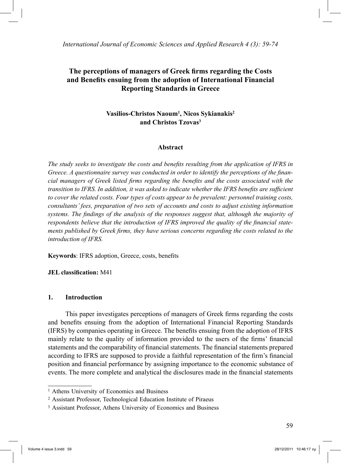*International Journal of Economic Sciences and Applied Research 4 (3): 59-74*

# **The perceptions of managers of Greek firms regarding the Costs and Benefits ensuing from the adoption of International Financial Reporting Standards in Greece**

# **Vasilios-Christos Naoum1 , Nicos Sykianakis2 and Christos Tzovas3**

#### **Abstract**

*The study seeks to investigate the costs and benefits resulting from the application of IFRS in Greece. A questionnaire survey was conducted in order to identify the perceptions of the financial managers of Greek listed firms regarding the benefits and the costs associated with the transition to IFRS. In addition, it was asked to indicate whether the IFRS benefits are sufficient to cover the related costs. Four types of costs appear to be prevalent: personnel training costs, consultants' fees, preparation of two sets of accounts and costs to adjust existing information systems. The findings of the analysis of the responses suggest that, although the majority of respondents believe that the introduction of IFRS improved the quality of the financial statements published by Greek firms, they have serious concerns regarding the costs related to the introduction of IFRS.*

**Keywords**: IFRS adoption, Greece, costs, benefits

#### **JEL classification:** M41

#### **1. Introduction**

 This paper investigates perceptions of managers of Greek firms regarding the costs and benefits ensuing from the adoption of International Financial Reporting Standards (IFRS) by companies operating in Greece. The benefits ensuing from the adoption of IFRS mainly relate to the quality of information provided to the users of the firms' financial statements and the comparability of financial statements. The financial statements prepared according to IFRS are supposed to provide a faithful representation of the firm's financial position and financial performance by assigning importance to the economic substance of events. The more complete and analytical the disclosures made in the financial statements

<sup>1</sup> Athens University of Economics and Business

<sup>2</sup> Assistant Professor, Technological Education Institute of Piraeus

<sup>3</sup> Assistant Professor, Athens University of Economics and Business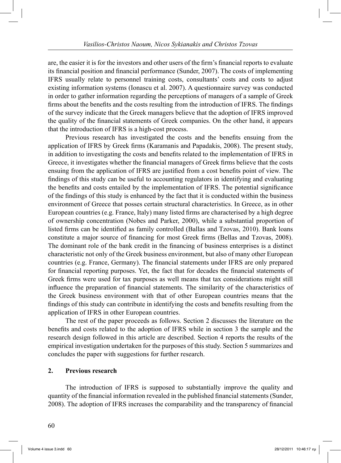are, the easier it is for the investors and other users of the firm's financial reports to evaluate its financial position and financial performance (Sunder, 2007). The costs of implementing IFRS usually relate to personnel training costs, consultants' costs and costs to adjust existing information systems (Ionascu et al. 2007). A questionnaire survey was conducted in order to gather information regarding the perceptions of managers of a sample of Greek firms about the benefits and the costs resulting from the introduction of IFRS. The findings of the survey indicate that the Greek managers believe that the adoption of IFRS improved the quality of the financial statements of Greek companies. On the other hand, it appears that the introduction of IFRS is a high-cost process.

 Previous research has investigated the costs and the benefits ensuing from the application of IFRS by Greek firms (Karamanis and Papadakis, 2008). The present study, in addition to investigating the costs and benefits related to the implementation of IFRS in Greece, it investigates whether the financial managers of Greek firms believe that the costs ensuing from the application of IFRS are justified from a cost benefits point of view. The findings of this study can be useful to accounting regulators in identifying and evaluating the benefits and costs entailed by the implementation of IFRS. The potential significance of the findings of this study is enhanced by the fact that it is conducted within the business environment of Greece that posses certain structural characteristics. In Greece, as in other European countries (e.g. France, Italy) many listed firms are characterised by a high degree of ownership concentration (Nobes and Parker, 2000), while a substantial proportion of listed firms can be identified as family controlled (Ballas and Tzovas, 2010). Bank loans constitute a major source of financing for most Greek firms (Bellas and Tzovas, 2008). The dominant role of the bank credit in the financing of business enterprises is a distinct characteristic not only of the Greek business environment, but also of many other European countries (e.g. France, Germany). The financial statements under IFRS are only prepared for financial reporting purposes. Yet, the fact that for decades the financial statements of Greek firms were used for tax purposes as well means that tax considerations might still influence the preparation of financial statements. The similarity of the characteristics of the Greek business environment with that of other European countries means that the findings of this study can contribute in identifying the costs and benefits resulting from the application of IFRS in other European countries.

 The rest of the paper proceeds as follows. Section 2 discusses the literature on the benefits and costs related to the adoption of IFRS while in section 3 the sample and the research design followed in this article are described. Section 4 reports the results of the empirical investigation undertaken for the purposes of this study. Section 5 summarizes and concludes the paper with suggestions for further research.

#### **2. Previous research**

 The introduction of IFRS is supposed to substantially improve the quality and quantity of the financial information revealed in the published financial statements (Sunder, 2008). The adoption of IFRS increases the comparability and the transparency of financial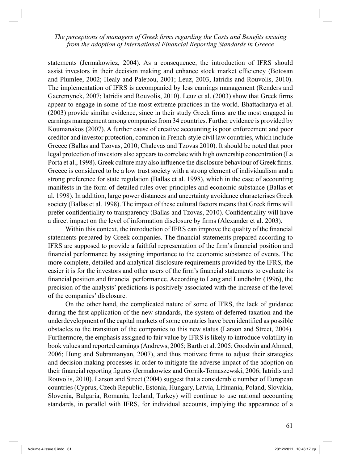statements (Jermakowicz, 2004). As a consequence, the introduction of IFRS should assist investors in their decision making and enhance stock market efficiency (Botosan and Plumlee, 2002; Healy and Palepou, 2001; Leuz, 2003, Iatridis and Rouvolis, 2010). The implementation of IFRS is accompanied by less earnings management (Renders and Gaeremynck, 2007; Iatridis and Rouvolis, 2010). Leuz et al. (2003) show that Greek firms appear to engage in some of the most extreme practices in the world. Bhattacharya et al. (2003) provide similar evidence, since in their study Greek firms are the most engaged in earnings management among companies from 34 countries. Further evidence is provided by Koumanakos (2007). A further cause of creative accounting is poor enforcement and poor creditor and investor protection, common in French-style civil law countries, which include Greece (Ballas and Tzovas, 2010; Chalevas and Tzovas 2010). It should be noted that poor legal protection of investors also appears to correlate with high ownership concentration (La Porta et al., 1998). Greek culture may also influence the disclosure behaviour of Greek firms. Greece is considered to be a low trust society with a strong element of individualism and a strong preference for state regulation (Ballas et al. 1998), which in the case of accounting manifests in the form of detailed rules over principles and economic substance (Ballas et al. 1998). In addition, large power distances and uncertainty avoidance characterises Greek society (Ballas et al. 1998). The impact of these cultural factors means that Greek firms will prefer confidentiality to transparency (Ballas and Tzovas, 2010). Confidentiality will have a direct impact on the level of information disclosure by firms (Alexander et al. 2003).

 Within this context, the introduction of IFRS can improve the quality of the financial statements prepared by Greek companies. The financial statements prepared according to IFRS are supposed to provide a faithful representation of the firm's financial position and financial performance by assigning importance to the economic substance of events. The more complete, detailed and analytical disclosure requirements provided by the IFRS, the easier it is for the investors and other users of the firm's financial statements to evaluate its financial position and financial performance. According to Lang and Lundholm (1996), the precision of the analysts' predictions is positively associated with the increase of the level of the companies' disclosure.

 On the other hand, the complicated nature of some of IFRS, the lack of guidance during the first application of the new standards, the system of deferred taxation and the underdevelopment of the capital markets of some countries have been identified as possible obstacles to the transition of the companies to this new status (Larson and Street, 2004). Furthermore, the emphasis assigned to fair value by IFRS is likely to introduce volatility in book values and reported earnings (Andrews, 2005; Barth et al. 2005; Goodwin and Ahmed, 2006; Hung and Subramanyan, 2007), and thus motivate firms to adjust their strategies and decision making processes in order to mitigate the adverse impact of the adoption on their financial reporting figures (Jermakowicz and Gornik-Tomaszewski, 2006; Iatridis and Rouvolis, 2010). Larson and Street (2004) suggest that a considerable number of European countries (Cyprus, Czech Republic, Estonia, Hungary, Latvia, Lithuania, Poland, Slovakia, Slovenia, Bulgaria, Romania, Iceland, Turkey) will continue to use national accounting standards, in parallel with IFRS, for individual accounts, implying the appearance of a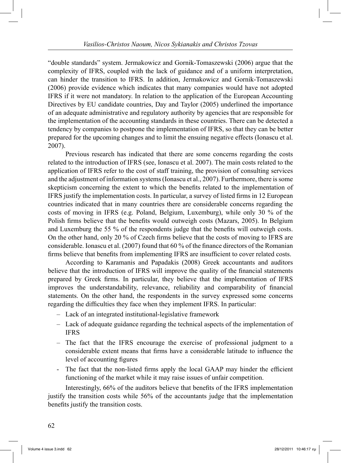"double standards" system. Jermakowicz and Gornik-Tomaszewski (2006) argue that the complexity of IFRS, coupled with the lack of guidance and of a uniform interpretation, can hinder the transition to IFRS. In addition, Jermakowicz and Gornik-Tomaszewski (2006) provide evidence which indicates that many companies would have not adopted IFRS if it were not mandatory. In relation to the application of the European Accounting Directives by EU candidate countries, Day and Taylor (2005) underlined the importance of an adequate administrative and regulatory authority by agencies that are responsible for the implementation of the accounting standards in these countries. There can be detected a tendency by companies to postpone the implementation of IFRS, so that they can be better prepared for the upcoming changes and to limit the ensuing negative effects (Ionascu et al. 2007).

 Previous research has indicated that there are some concerns regarding the costs related to the introduction of IFRS (see, Ionascu et al. 2007). The main costs related to the application of IFRS refer to the cost of staff training, the provision of consulting services and the adjustment of information systems (Ionascu et al., 2007). Furthermore, there is some skepticism concerning the extent to which the benefits related to the implementation of IFRS justify the implementation costs. In particular, a survey of listed firms in 12 European countries indicated that in many countries there are considerable concerns regarding the costs of moving in IFRS (e.g. Poland, Belgium, Luxemburg), while only 30 % of the Polish firms believe that the benefits would outweigh costs (Mazars, 2005). In Belgium and Luxemburg the 55 % of the respondents judge that the benefits will outweigh costs. On the other hand, only 20 % of Czech firms believe that the costs of moving to IFRS are considerable. Ionascu et al. (2007) found that 60 % of the finance directors of the Romanian firms believe that benefits from implementing IFRS are insufficient to cover related costs.

 According to Karamanis and Papadakis (2008) Greek accountants and auditors believe that the introduction of IFRS will improve the quality of the financial statements prepared by Greek firms. In particular, they believe that the implementation of IFRS improves the understandability, relevance, reliability and comparability of financial statements. On the other hand, the respondents in the survey expressed some concerns regarding the difficulties they face when they implement IFRS. In particular:

- Lack of an integrated institutional-legislative framework
- Lack of adequate guidance regarding the technical aspects of the implementation of IFRS
- The fact that the IFRS encourage the exercise of professional judgment to a considerable extent means that firms have a considerable latitude to influence the level of accounting figures
- The fact that the non-listed firms apply the local GAAP may hinder the efficient functioning of the market while it may raise issues of unfair competition.

 Interestingly, 66% of the auditors believe that benefits of the IFRS implementation justify the transition costs while 56% of the accountants judge that the implementation benefits justify the transition costs.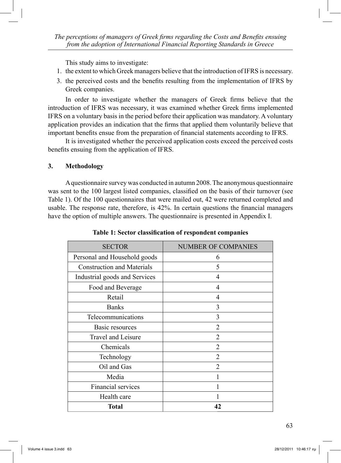This study aims to investigate:

- 1. the extent to which Greek managers believe that the introduction of IFRS is necessary.
- 3. the perceived costs and the benefits resulting from the implementation of IFRS by Greek companies.

 In order to investigate whether the managers of Greek firms believe that the introduction of IFRS was necessary, it was examined whether Greek firms implemented IFRS on a voluntary basis in the period before their application was mandatory. A voluntary application provides an indication that the firms that applied them voluntarily believe that important benefits ensue from the preparation of financial statements according to IFRS.

 It is investigated whether the perceived application costs exceed the perceived costs benefits ensuing from the application of IFRS.

### **3. Methodology**

 A questionnaire survey was conducted in autumn 2008. The anonymous questionnaire was sent to the 100 largest listed companies, classified on the basis of their turnover (see Table 1). Of the 100 questionnaires that were mailed out, 42 were returned completed and usable. The response rate, therefore, is 42%. In certain questions the financial managers have the option of multiple answers. The questionnaire is presented in Appendix I.

| <b>SECTOR</b>                     | <b>NUMBER OF COMPANIES</b> |
|-----------------------------------|----------------------------|
| Personal and Household goods      | 6                          |
| <b>Construction and Materials</b> | 5                          |
| Industrial goods and Services     | 4                          |
| Food and Beverage                 | 4                          |
| Retail                            | 4                          |
| <b>Banks</b>                      | 3                          |
| Telecommunications                | 3                          |
| Basic resources                   | $\overline{2}$             |
| Travel and Leisure                | $\overline{2}$             |
| Chemicals                         | $\overline{2}$             |
| Technology                        | $\overline{2}$             |
| Oil and Gas                       | $\overline{2}$             |
| Media                             |                            |
| <b>Financial services</b>         |                            |
| Health care                       |                            |
| Total                             | 42                         |

**Table 1: Sector classification of respondent companies**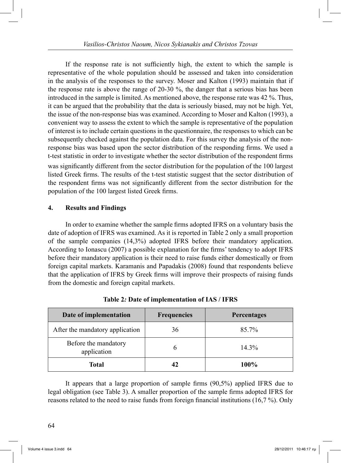If the response rate is not sufficiently high, the extent to which the sample is representative of the whole population should be assessed and taken into consideration in the analysis of the responses to the survey. Moser and Kalton (1993) maintain that if the response rate is above the range of 20-30 %, the danger that a serious bias has been introduced in the sample is limited. As mentioned above, the response rate was 42 %. Thus, it can be argued that the probability that the data is seriously biased, may not be high. Yet, the issue of the non-response bias was examined. According to Moser and Kalton (1993), a convenient way to assess the extent to which the sample is representative of the population of interest is to include certain questions in the questionnaire, the responses to which can be subsequently checked against the population data. For this survey the analysis of the nonresponse bias was based upon the sector distribution of the responding firms. We used a t-test statistic in order to investigate whether the sector distribution of the respondent firms was significantly different from the sector distribution for the population of the 100 largest listed Greek firms. The results of the t-test statistic suggest that the sector distribution of the respondent firms was not significantly different from the sector distribution for the population of the 100 largest listed Greek firms.

### **4. Results and Findings**

 In order to examine whether the sample firms adopted IFRS on a voluntary basis the date of adoption of IFRS was examined. As it is reported in Table 2 only a small proportion of the sample companies (14,3%) adopted IFRS before their mandatory application. According to Ionascu (2007) a possible explanation for the firms' tendency to adopt IFRS before their mandatory application is their need to raise funds either domestically or from foreign capital markets. Karamanis and Papadakis (2008) found that respondents believe that the application of IFRS by Greek firms will improve their prospects of raising funds from the domestic and foreign capital markets.

| Date of implementation              | <b>Frequencies</b> | <b>Percentages</b> |
|-------------------------------------|--------------------|--------------------|
| After the mandatory application     | 36                 | 85.7%              |
| Before the mandatory<br>application |                    | $14.3\%$           |
| Total                               |                    | 100%               |

**Table 2***:* **Date of implementation of IAS / IFRS**

 It appears that a large proportion of sample firms (90,5%) applied IFRS due to legal obligation (see Table 3). A smaller proportion of the sample firms adopted IFRS for reasons related to the need to raise funds from foreign financial institutions (16,7 %). Only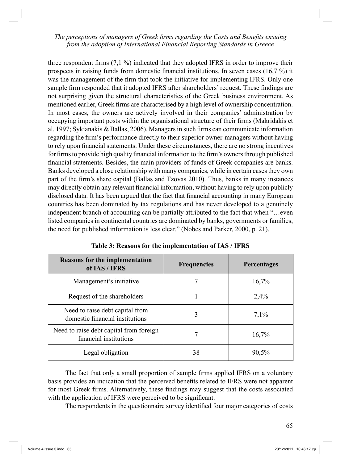three respondent firms (7,1 %) indicated that they adopted IFRS in order to improve their prospects in raising funds from domestic financial institutions. In seven cases (16,7 %) it was the management of the firm that took the initiative for implementing IFRS. Only one sample firm responded that it adopted IFRS after shareholders' request. These findings are not surprising given the structural characteristics of the Greek business environment. As mentioned earlier, Greek firms are characterised by a high level of ownership concentration. In most cases, the owners are actively involved in their companies' administration by occupying important posts within the organisational structure of their firms (Makridakis et al. 1997; Sykianakis & Ballas, 2006). Managers in such firms can communicate information regarding the firm's performance directly to their superior owner-managers without having to rely upon financial statements. Under these circumstances, there are no strong incentives for firms to provide high quality financial information to the firm's owners through published financial statements. Besides, the main providers of funds of Greek companies are banks. Banks developed a close relationship with many companies, while in certain cases they own part of the firm's share capital (Ballas and Tzovas 2010). Thus, banks in many instances may directly obtain any relevant financial information, without having to rely upon publicly disclosed data. It has been argued that the fact that financial accounting in many European countries has been dominated by tax regulations and has never developed to a genuinely independent branch of accounting can be partially attributed to the fact that when "…even listed companies in continental countries are dominated by banks, governments or families, the need for published information is less clear." (Nobes and Parker, 2000, p. 21).

| <b>Reasons for the implementation</b><br>of IAS / IFRS             | <b>Frequencies</b> | Percentages |
|--------------------------------------------------------------------|--------------------|-------------|
| Management's initiative                                            |                    | 16,7%       |
| Request of the shareholders                                        |                    | 2,4%        |
| Need to raise debt capital from<br>domestic financial institutions | 3                  | 7,1%        |
| Need to raise debt capital from foreign<br>financial institutions  |                    | 16,7%       |
| Legal obligation                                                   | 38                 | 90,5%       |

| Table 3: Reasons for the implementation of IAS / IFRS |  |  |  |
|-------------------------------------------------------|--|--|--|
|-------------------------------------------------------|--|--|--|

 The fact that only a small proportion of sample firms applied IFRS on a voluntary basis provides an indication that the perceived benefits related to IFRS were not apparent for most Greek firms. Alternatively, these findings may suggest that the costs associated with the application of IFRS were perceived to be significant.

The respondents in the questionnaire survey identified four major categories of costs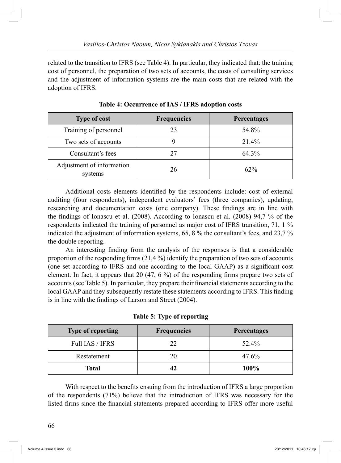related to the transition to IFRS (see Table 4). In particular, they indicated that: the training cost of personnel, the preparation of two sets of accounts, the costs of consulting services and the adjustment of information systems are the main costs that are related with the adoption of IFRS.

| <b>Type of cost</b>                  | <b>Frequencies</b> | Percentages |
|--------------------------------------|--------------------|-------------|
| Training of personnel                | 23                 | 54.8%       |
| Two sets of accounts                 |                    | 21.4%       |
| Consultant's fees                    | 27                 | 64.3%       |
| Adjustment of information<br>systems | 26                 | $62\%$      |

**Table 4: Occurrence of IAS / IFRS adoption costs**

 Additional costs elements identified by the respondents include: cost of external auditing (four respondents), independent evaluators' fees (three companies), updating, researching and documentation costs (one company). These findings are in line with the findings of Ionascu et al. (2008). According to Ionascu et al. (2008) 94,7 % of the respondents indicated the training of personnel as major cost of IFRS transition, 71, 1 % indicated the adjustment of information systems, 65, 8 % the consultant's fees, and 23,7 % the double reporting.

 An interesting finding from the analysis of the responses is that a considerable proportion of the responding firms  $(21,4\%)$  identify the preparation of two sets of accounts (one set according to IFRS and one according to the local GAAP) as a significant cost element. In fact, it appears that 20 (47, 6 %) of the responding firms prepare two sets of accounts (see Table 5). In particular, they prepare their financial statements according to the local GAAP and they subsequently restate these statements according to IFRS. This finding is in line with the findings of Larson and Street (2004).

| <b>Type of reporting</b> | <b>Frequencies</b> | <b>Percentages</b> |
|--------------------------|--------------------|--------------------|
| Full IAS / IFRS          | 22.                | 52.4%              |
| Restatement              | 20                 | 47.6%              |
| Total                    | 42                 | 100%               |

**Table 5: Type of reporting**

 With respect to the benefits ensuing from the introduction of IFRS a large proportion of the respondents (71%) believe that the introduction of IFRS was necessary for the listed firms since the financial statements prepared according to IFRS offer more useful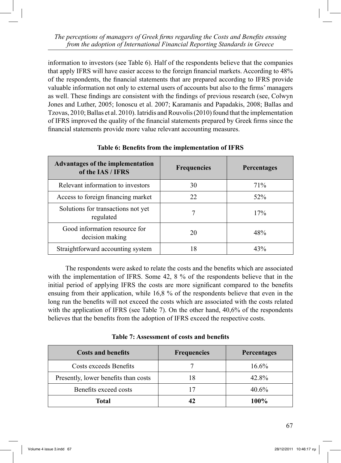information to investors (see Table 6). Half of the respondents believe that the companies that apply IFRS will have easier access to the foreign financial markets. According to 48% of the respondents, the financial statements that are prepared according to IFRS provide valuable information not only to external users of accounts but also to the firms' managers as well. These findings are consistent with the findings of previous research (see, Colwyn Jones and Luther, 2005; Ionoscu et al. 2007; Karamanis and Papadakis, 2008; Ballas and Tzovas, 2010; Ballas et al. 2010). Iatridis and Rouvolis (2010) found that the implementation of IFRS improved the quality of the financial statements prepared by Greek firms since the financial statements provide more value relevant accounting measures.

| <b>Advantages of the implementation</b><br>of the IAS / IFRS | <b>Frequencies</b> | <b>Percentages</b> |
|--------------------------------------------------------------|--------------------|--------------------|
| Relevant information to investors                            | 30                 | 71\%               |
| Access to foreign financing market                           | 22                 | 52%                |
| Solutions for transactions not yet<br>regulated              |                    | 17%                |
| Good information resource for<br>decision making             | 20                 | 48%                |
| Straightforward accounting system                            | 18                 | 43%                |

## **Table 6: Benefits from the implementation of IFRS**

 The respondents were asked to relate the costs and the benefits which are associated with the implementation of IFRS. Some 42, 8 % of the respondents believe that in the initial period of applying IFRS the costs are more significant compared to the benefits ensuing from their application, while 16,8 % of the respondents believe that even in the long run the benefits will not exceed the costs which are associated with the costs related with the application of IFRS (see Table 7). On the other hand, 40,6% of the respondents believes that the benefits from the adoption of IFRS exceed the respective costs.

**Table 7: Assessment of costs and benefits**

| <b>Costs and benefits</b>            | <b>Frequencies</b> | Percentages |
|--------------------------------------|--------------------|-------------|
| Costs exceeds Benefits               |                    | $16.6\%$    |
| Presently, lower benefits than costs | 18                 | 42.8%       |
| Benefits exceed costs                |                    | $40.6\%$    |
| Total                                |                    | 100%        |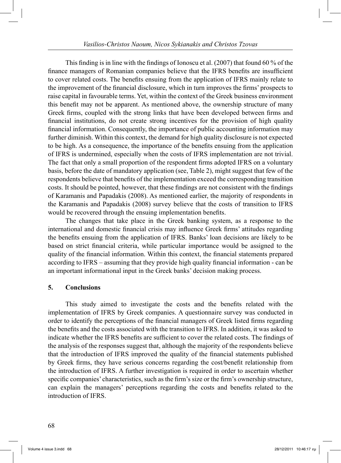This finding is in line with the findings of Ionoscu et al. (2007) that found 60 % of the finance managers of Romanian companies believe that the IFRS benefits are insufficient to cover related costs. The benefits ensuing from the application of IFRS mainly relate to the improvement of the financial disclosure, which in turn improves the firms' prospects to raise capital in favourable terms. Yet, within the context of the Greek business environment this benefit may not be apparent. As mentioned above, the ownership structure of many Greek firms, coupled with the strong links that have been developed between firms and financial institutions, do not create strong incentives for the provision of high quality financial information. Consequently, the importance of public accounting information may further diminish. Within this context, the demand for high quality disclosure is not expected to be high. As a consequence, the importance of the benefits ensuing from the application of IFRS is undermined, especially when the costs of IFRS implementation are not trivial. The fact that only a small proportion of the respondent firms adopted IFRS on a voluntary basis, before the date of mandatory application (see, Table 2), might suggest that few of the respondents believe that benefits of the implementation exceed the corresponding transition costs. It should be pointed, however, that these findings are not consistent with the findings of Karamanis and Papadakis (2008). As mentioned earlier, the majority of respondents in the Karamanis and Papadakis (2008) survey believe that the costs of transition to IFRS would be recovered through the ensuing implementation benefits.

 The changes that take place in the Greek banking system, as a response to the international and domestic financial crisis may influence Greek firms' attitudes regarding the benefits ensuing from the application of IFRS. Banks' loan decisions are likely to be based on strict financial criteria, while particular importance would be assigned to the quality of the financial information. Within this context, the financial statements prepared according to IFRS – assuming that they provide high quality financial information - can be an important informational input in the Greek banks' decision making process.

#### **5. Conclusions**

 This study aimed to investigate the costs and the benefits related with the implementation of IFRS by Greek companies. A questionnaire survey was conducted in order to identify the perceptions of the financial managers of Greek listed firms regarding the benefits and the costs associated with the transition to IFRS. In addition, it was asked to indicate whether the IFRS benefits are sufficient to cover the related costs. The findings of the analysis of the responses suggest that, although the majority of the respondents believe that the introduction of IFRS improved the quality of the financial statements published by Greek firms, they have serious concerns regarding the cost/benefit relationship from the introduction of IFRS. A further investigation is required in order to ascertain whether specific companies' characteristics, such as the firm's size or the firm's ownership structure, can explain the managers' perceptions regarding the costs and benefits related to the introduction of IFRS.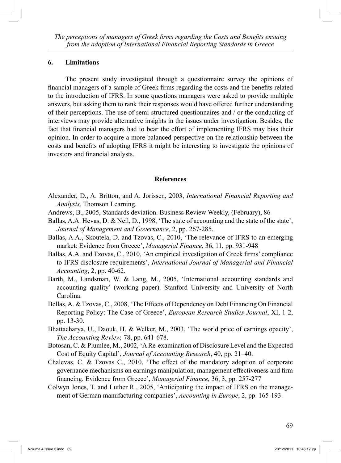#### **6. Limitations**

 The present study investigated through a questionnaire survey the opinions of financial managers of a sample of Greek firms regarding the costs and the benefits related to the introduction of IFRS. In some questions managers were asked to provide multiple answers, but asking them to rank their responses would have offered further understanding of their perceptions. The use of semi-structured questionnaires and / or the conducting of interviews may provide alternative insights in the issues under investigation. Besides, the fact that financial managers had to bear the effort of implementing IFRS may bias their opinion. In order to acquire a more balanced perspective on the relationship between the costs and benefits of adopting IFRS it might be interesting to investigate the opinions of investors and financial analysts.

#### **References**

- Alexander, D., A. Britton, and A. Jorissen, 2003, *International Financial Reporting and Analysis*, Thomson Learning.
- Andrews, B., 2005, Standards deviation. Business Review Weekly, (February), 86
- Ballas, A.A. Hevas, D. & Neil, D., 1998, 'The state of accounting and the state of the state', *Journal of Management and Governance*, 2, pp. 267-285.
- Ballas, A.A., Skoutela, D. and Tzovas, C., 2010, 'The relevance of IFRS to an emerging market: Evidence from Greece', *Managerial Finance*, 36, 11, pp. 931-948
- Ballas, A.A. and Tzovas, C., 2010, *'*An empirical investigation of Greek firms' compliance to IFRS disclosure requirements', *International Journal of Managerial and Financial Accounting*, 2, pp. 40-62.
- Barth, M., Landsman, W. & Lang, M., 2005, 'International accounting standards and accounting quality' (working paper). Stanford University and University of North Carolina.
- Bellas, A. & Tzovas, C., 2008, 'The Effects of Dependency on Debt Financing On Financial Reporting Policy: The Case of Greece', *European Research Studies Journal*, XI, 1-2, pp. 13-30.
- Bhattacharya, U., Daouk, H. & Welker, M., 2003, 'The world price of earnings opacity', *The Accounting Review,* 78, pp. 641-678.
- Botosan, C. & Plumlee, M., 2002, 'A Re-examination of Disclosure Level and the Expected Cost of Equity Capital', *Journal of Accounting Research*, 40, pp. 21–40.
- Chalevas, C. & Tzovas C., 2010, 'The effect of the mandatory adoption of corporate governance mechanisms on earnings manipulation, management effectiveness and firm financing. Evidence from Greece', *Managerial Finance,* 36, 3, pp. 257-277
- Colwyn Jones, T. and Luther R., 2005, 'Anticipating the impact of IFRS on the management of German manufacturing companies', *Accounting in Europe*, 2, pp. 165-193.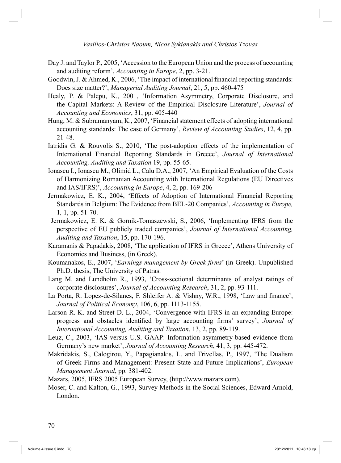- Day J. and Taylor P., 2005, 'Accession to the European Union and the process of accounting and auditing reform', *Accounting in Europe*, 2, pp. 3-21.
- Goodwin, J. & Ahmed, K., 2006, 'The impact of international financial reporting standards: Does size matter?', *Managerial Auditing Journal*, 21, 5, pp. 460-475
- Healy, P. & Palepu, K., 2001, 'Information Asymmetry, Corporate Disclosure, and the Capital Markets: A Review of the Empirical Disclosure Literature', *Journal of Accounting and Economics*, 31, pp. 405-440
- Hung, M. & Subramanyam, K., 2007, 'Financial statement effects of adopting international accounting standards: The case of Germany', *Review of Accounting Studies*, 12, 4, pp. 21-48.
- Iatridis G. & Rouvolis S., 2010, 'The post-adoption effects of the implementation of International Financial Reporting Standards in Greece', *Journal of International Accounting, Auditing and Taxation* 19, pp. 55-65.
- Ionascu I., Ionascu M., Olimid L., Calu D.A., 2007, 'An Empirical Evaluation of the Costs of Harmonizing Romanian Accounting with International Regulations (EU Directives and IAS/IFRS)', *Accounting in Europe*, 4, 2, pp. 169-206
- Jermakowicz, E. K., 2004, 'Effects of Adoption of International Financial Reporting Standards in Belgium: The Evidence from BEL-20 Companies', *Accounting in Europe,*  1*,* 1, pp. 51-70.
- Jermakowicz, E. K. & Gornik-Tomaszewski, S., 2006, 'Implementing IFRS from the perspective of EU publicly traded companies', *Journal of International Accounting, Auditing and Taxation*, 15, pp. 170-196.
- Karamanis & Papadakis, 2008, 'The application of IFRS in Greece', Athens University of Economics and Business, (in Greek).
- Koumanakos, E., 2007, '*Earnings management by Greek firms*' (in Greek). Unpublished Ph.D. thesis, The University of Patras.
- Lang M. and Lundholm R., 1993, 'Cross-sectional determinants of analyst ratings of corporate disclosures', *Journal of Accounting Research*, 31, 2, pp. 93-111.
- La Porta, R. Lopez-de-Silanes, F. Shleifer A. & Vishny, W.R., 1998, 'Law and finance', *Journal of Political Economy*, 106, 6, pp. 1113-1155.
- Larson R. K. and Street D. L., 2004, 'Convergence with IFRS in an expanding Europe: progress and obstacles identified by large accounting firms' survey', *Journal of International Accounting, Auditing and Taxation*, 13, 2, pp. 89-119.
- Leuz, C., 2003, 'IAS versus U.S. GAAP: Information asymmetry-based evidence from Germany's new market', *Journal of Accounting Research*, 41, 3, pp. 445-472.
- Makridakis, S., Calogirou, Y., Papagianakis, L. and Trivellas, P., 1997, 'The Dualism of Greek Firms and Management: Present State and Future Implications', *European Management Journal*, pp. 381-402.

Mazars, 2005, IFRS 2005 European Survey, (http://www.mazars.com).

Moser, C. and Kalton, G., 1993, Survey Methods in the Social Sciences, Edward Arnold, London.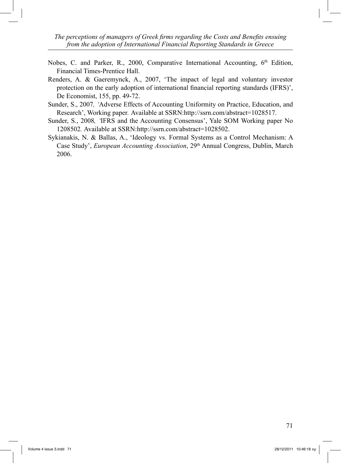- Nobes, C. and Parker, R., 2000, Comparative International Accounting, 6<sup>th</sup> Edition, Financial Times-Prentice Hall.
- Renders, A. & Gaeremynck, A., 2007, 'The impact of legal and voluntary investor protection on the early adoption of international financial reporting standards (IFRS)', De Economist, 155, pp. 49-72.
- Sunder, S., 2007*, '*Adverse Effects of Accounting Uniformity on Practice, Education, and Research', Working paper*.* Available at SSRN:http://ssrn.com/abstract=1028517.
- Sunder, S., 2008*, '*IFRS and the Accounting Consensus', Yale SOM Working paper No 1208502*.* Available at SSRN:http://ssrn.com/abstract=1028502.
- Sykianakis, N. & Ballas, A., 'Ideology vs. Formal Systems as a Control Mechanism: A Case Study', *European Accounting Association*, 29th Annual Congress, Dublin, March 2006.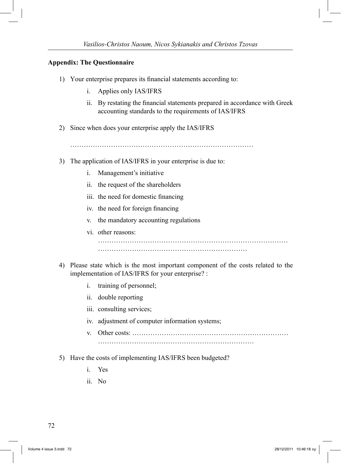### **Appendix: The Questionnaire**

- 1) Your enterprise prepares its financial statements according to:
	- i. Applies only IAS/IFRS
	- ii. By restating the financial statements prepared in accordance with Greek accounting standards to the requirements of IAS/IFRS
- 2) Since when does your enterprise apply the IAS/IFRS

………………………………………………………………………

- 3) The application of IAS/IFRS in your enterprise is due to:
	- i. Management's initiative
	- ii. the request of the shareholders
	- iii. the need for domestic financing
	- iv. the need for foreign financing
	- v. the mandatory accounting regulations
	- vi. other reasons:

…………………………………………………………

- 4) Please state which is the most important component of the costs related to the implementation of IAS/IFRS for your enterprise? :
	- i. training of personnel;
	- ii. double reporting
	- iii. consulting services;
	- iv. adjustment of computer information systems;
	- v. Other costs: ……………………………………………………………
- 5) Have the costs of implementing IAS/IFRS been budgeted?
	- i. Yes
	- ii. No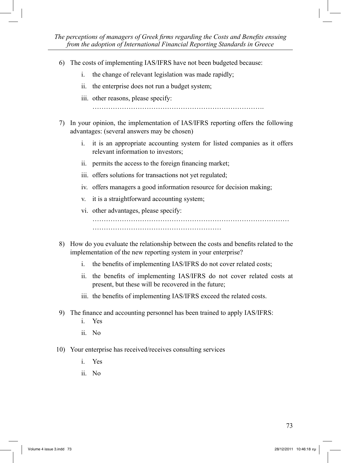- 6) The costs of implementing IAS/IFRS have not been budgeted because:
	- i. the change of relevant legislation was made rapidly;
	- ii. the enterprise does not run a budget system;
	- iii. other reasons, please specify:

………………………………………………………………….

- 7) In your opinion, the implementation of IAS/IFRS reporting offers the following advantages: (several answers may be chosen)
	- i. it is an appropriate accounting system for listed companies as it offers relevant information to investors;
	- ii. permits the access to the foreign financing market;
	- iii. offers solutions for transactions not yet regulated;
	- iv. offers managers a good information resource for decision making;
	- v. it is a straightforward accounting system;
	- vi. other advantages, please specify:
- 8) How do you evaluate the relationship between the costs and benefits related to the implementation of the new reporting system in your enterprise?
	- i. the benefits of implementing IAS/IFRS do not cover related costs;
	- ii. the benefits of implementing IAS/IFRS do not cover related costs at present, but these will be recovered in the future;
	- iii. the benefits of implementing IAS/IFRS exceed the related costs.
- 9) The finance and accounting personnel has been trained to apply IAS/IFRS:
	- i. Yes
	- ii. No
- 10) Your enterprise has received/receives consulting services
	- i. Yes
	- ii. No